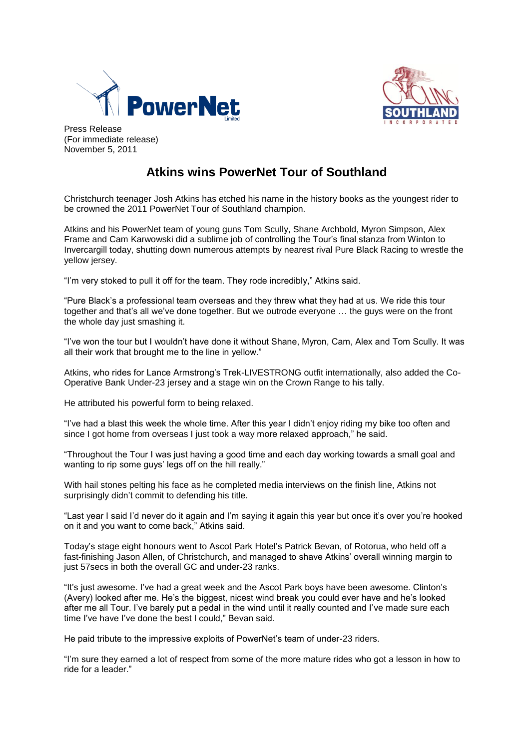



Press Release (For immediate release) November 5, 2011

# **Atkins wins PowerNet Tour of Southland**

Christchurch teenager Josh Atkins has etched his name in the history books as the youngest rider to be crowned the 2011 PowerNet Tour of Southland champion.

Atkins and his PowerNet team of young guns Tom Scully, Shane Archbold, Myron Simpson, Alex Frame and Cam Karwowski did a sublime job of controlling the Tour's final stanza from Winton to Invercargill today, shutting down numerous attempts by nearest rival Pure Black Racing to wrestle the yellow jersey.

"I'm very stoked to pull it off for the team. They rode incredibly," Atkins said.

"Pure Black's a professional team overseas and they threw what they had at us. We ride this tour together and that's all we've done together. But we outrode everyone … the guys were on the front the whole day just smashing it.

"I've won the tour but I wouldn't have done it without Shane, Myron, Cam, Alex and Tom Scully. It was all their work that brought me to the line in yellow."

Atkins, who rides for Lance Armstrong's Trek-LIVESTRONG outfit internationally, also added the Co-Operative Bank Under-23 jersey and a stage win on the Crown Range to his tally.

He attributed his powerful form to being relaxed.

"I've had a blast this week the whole time. After this year I didn't enjoy riding my bike too often and since I got home from overseas I just took a way more relaxed approach." he said.

"Throughout the Tour I was just having a good time and each day working towards a small goal and wanting to rip some guys' legs off on the hill really."

With hail stones pelting his face as he completed media interviews on the finish line, Atkins not surprisingly didn't commit to defending his title.

"Last year I said I'd never do it again and I'm saying it again this year but once it's over you're hooked on it and you want to come back," Atkins said.

Today's stage eight honours went to Ascot Park Hotel's Patrick Bevan, of Rotorua, who held off a fast-finishing Jason Allen, of Christchurch, and managed to shave Atkins' overall winning margin to just 57 secs in both the overall GC and under-23 ranks.

"It's just awesome. I've had a great week and the Ascot Park boys have been awesome. Clinton's (Avery) looked after me. He's the biggest, nicest wind break you could ever have and he's looked after me all Tour. I've barely put a pedal in the wind until it really counted and I've made sure each time I've have I've done the best I could," Bevan said.

He paid tribute to the impressive exploits of PowerNet's team of under-23 riders.

"I'm sure they earned a lot of respect from some of the more mature rides who got a lesson in how to ride for a leader."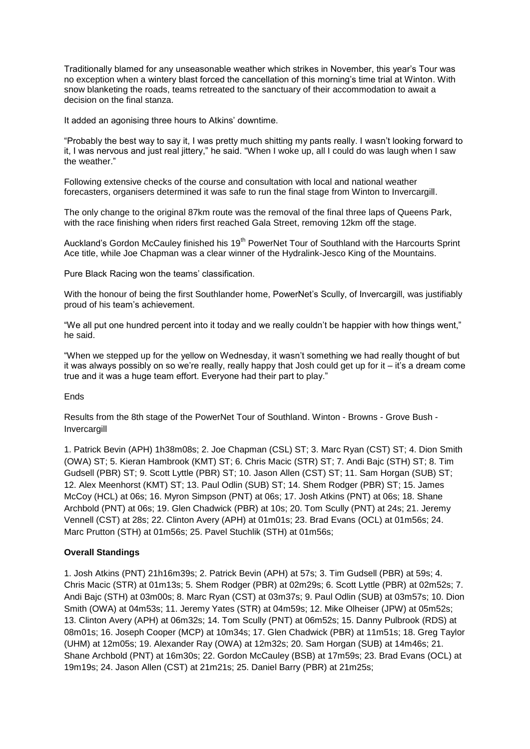Traditionally blamed for any unseasonable weather which strikes in November, this year's Tour was no exception when a wintery blast forced the cancellation of this morning's time trial at Winton. With snow blanketing the roads, teams retreated to the sanctuary of their accommodation to await a decision on the final stanza.

It added an agonising three hours to Atkins' downtime.

"Probably the best way to say it, I was pretty much shitting my pants really. I wasn't looking forward to it, I was nervous and just real jittery," he said. "When I woke up, all I could do was laugh when I saw the weather."

Following extensive checks of the course and consultation with local and national weather forecasters, organisers determined it was safe to run the final stage from Winton to Invercargill.

The only change to the original 87km route was the removal of the final three laps of Queens Park, with the race finishing when riders first reached Gala Street, removing 12km off the stage.

Auckland's Gordon McCauley finished his 19<sup>th</sup> PowerNet Tour of Southland with the Harcourts Sprint Ace title, while Joe Chapman was a clear winner of the Hydralink-Jesco King of the Mountains.

Pure Black Racing won the teams' classification.

With the honour of being the first Southlander home, PowerNet's Scully, of Invercargill, was justifiably proud of his team's achievement.

"We all put one hundred percent into it today and we really couldn't be happier with how things went," he said.

"When we stepped up for the yellow on Wednesday, it wasn't something we had really thought of but it was always possibly on so we're really, really happy that Josh could get up for it – it's a dream come true and it was a huge team effort. Everyone had their part to play."

**Ends** 

Results from the 8th stage of the PowerNet Tour of Southland. Winton - Browns - Grove Bush - Invercargill

1. Patrick Bevin (APH) 1h38m08s; 2. Joe Chapman (CSL) ST; 3. Marc Ryan (CST) ST; 4. Dion Smith (OWA) ST; 5. Kieran Hambrook (KMT) ST; 6. Chris Macic (STR) ST; 7. Andi Bajc (STH) ST; 8. Tim Gudsell (PBR) ST; 9. Scott Lyttle (PBR) ST; 10. Jason Allen (CST) ST; 11. Sam Horgan (SUB) ST; 12. Alex Meenhorst (KMT) ST; 13. Paul Odlin (SUB) ST; 14. Shem Rodger (PBR) ST; 15. James McCoy (HCL) at 06s; 16. Myron Simpson (PNT) at 06s; 17. Josh Atkins (PNT) at 06s; 18. Shane Archbold (PNT) at 06s; 19. Glen Chadwick (PBR) at 10s; 20. Tom Scully (PNT) at 24s; 21. Jeremy Vennell (CST) at 28s; 22. Clinton Avery (APH) at 01m01s; 23. Brad Evans (OCL) at 01m56s; 24. Marc Prutton (STH) at 01m56s; 25. Pavel Stuchlik (STH) at 01m56s;

### **Overall Standings**

1. Josh Atkins (PNT) 21h16m39s; 2. Patrick Bevin (APH) at 57s; 3. Tim Gudsell (PBR) at 59s; 4. Chris Macic (STR) at 01m13s; 5. Shem Rodger (PBR) at 02m29s; 6. Scott Lyttle (PBR) at 02m52s; 7. Andi Bajc (STH) at 03m00s; 8. Marc Ryan (CST) at 03m37s; 9. Paul Odlin (SUB) at 03m57s; 10. Dion Smith (OWA) at 04m53s; 11. Jeremy Yates (STR) at 04m59s; 12. Mike Olheiser (JPW) at 05m52s; 13. Clinton Avery (APH) at 06m32s; 14. Tom Scully (PNT) at 06m52s; 15. Danny Pulbrook (RDS) at 08m01s; 16. Joseph Cooper (MCP) at 10m34s; 17. Glen Chadwick (PBR) at 11m51s; 18. Greg Taylor (UHM) at 12m05s; 19. Alexander Ray (OWA) at 12m32s; 20. Sam Horgan (SUB) at 14m46s; 21. Shane Archbold (PNT) at 16m30s; 22. Gordon McCauley (BSB) at 17m59s; 23. Brad Evans (OCL) at 19m19s; 24. Jason Allen (CST) at 21m21s; 25. Daniel Barry (PBR) at 21m25s;